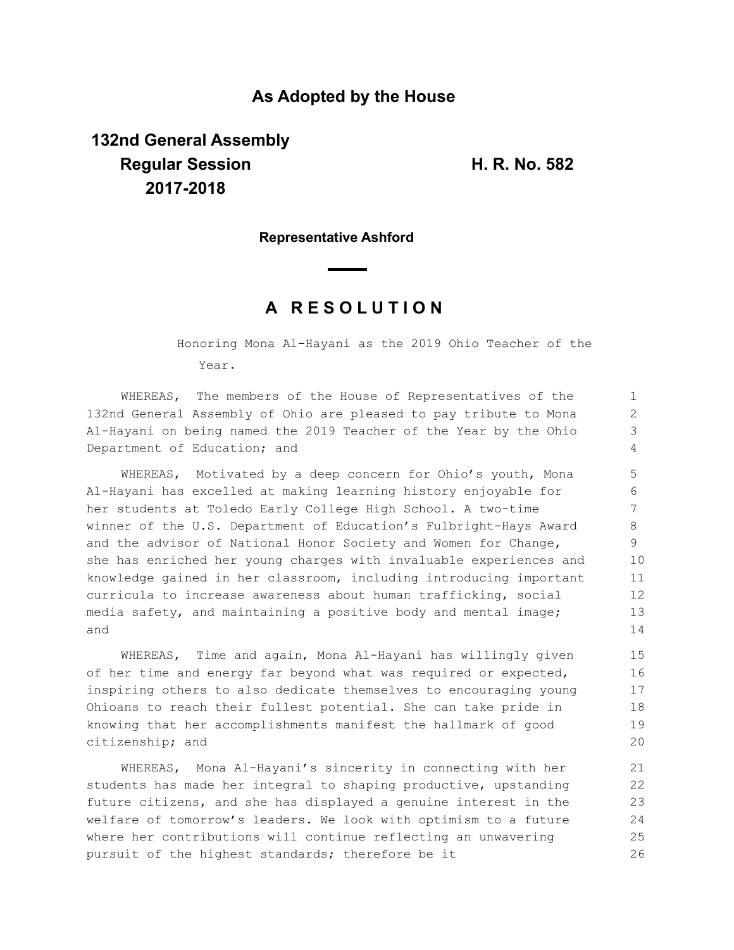# **As Adopted by the House**

# **132nd General Assembly Regular Session H. R. No. 582 2017-2018**

### **Representative Ashford**

# **A R E S O L U T I O N**

Honoring Mona Al-Hayani as the 2019 Ohio Teacher of the Year.

WHEREAS, The members of the House of Representatives of the 132nd General Assembly of Ohio are pleased to pay tribute to Mona Al-Hayani on being named the 2019 Teacher of the Year by the Ohio Department of Education; and

WHEREAS, Motivated by a deep concern for Ohio's youth, Mona Al-Hayani has excelled at making learning history enjoyable for her students at Toledo Early College High School. A two-time winner of the U.S. Department of Education's Fulbright-Hays Award and the advisor of National Honor Society and Women for Change, she has enriched her young charges with invaluable experiences and knowledge gained in her classroom, including introducing important curricula to increase awareness about human trafficking, social media safety, and maintaining a positive body and mental image; and

WHEREAS, Time and again, Mona Al-Hayani has willingly given of her time and energy far beyond what was required or expected, inspiring others to also dedicate themselves to encouraging young Ohioans to reach their fullest potential. She can take pride in knowing that her accomplishments manifest the hallmark of good citizenship; and

WHEREAS, Mona Al-Hayani's sincerity in connecting with her students has made her integral to shaping productive, upstanding future citizens, and she has displayed a genuine interest in the welfare of tomorrow's leaders. We look with optimism to a future where her contributions will continue reflecting an unwavering pursuit of the highest standards; therefore be it 21 22 23 24 25 26